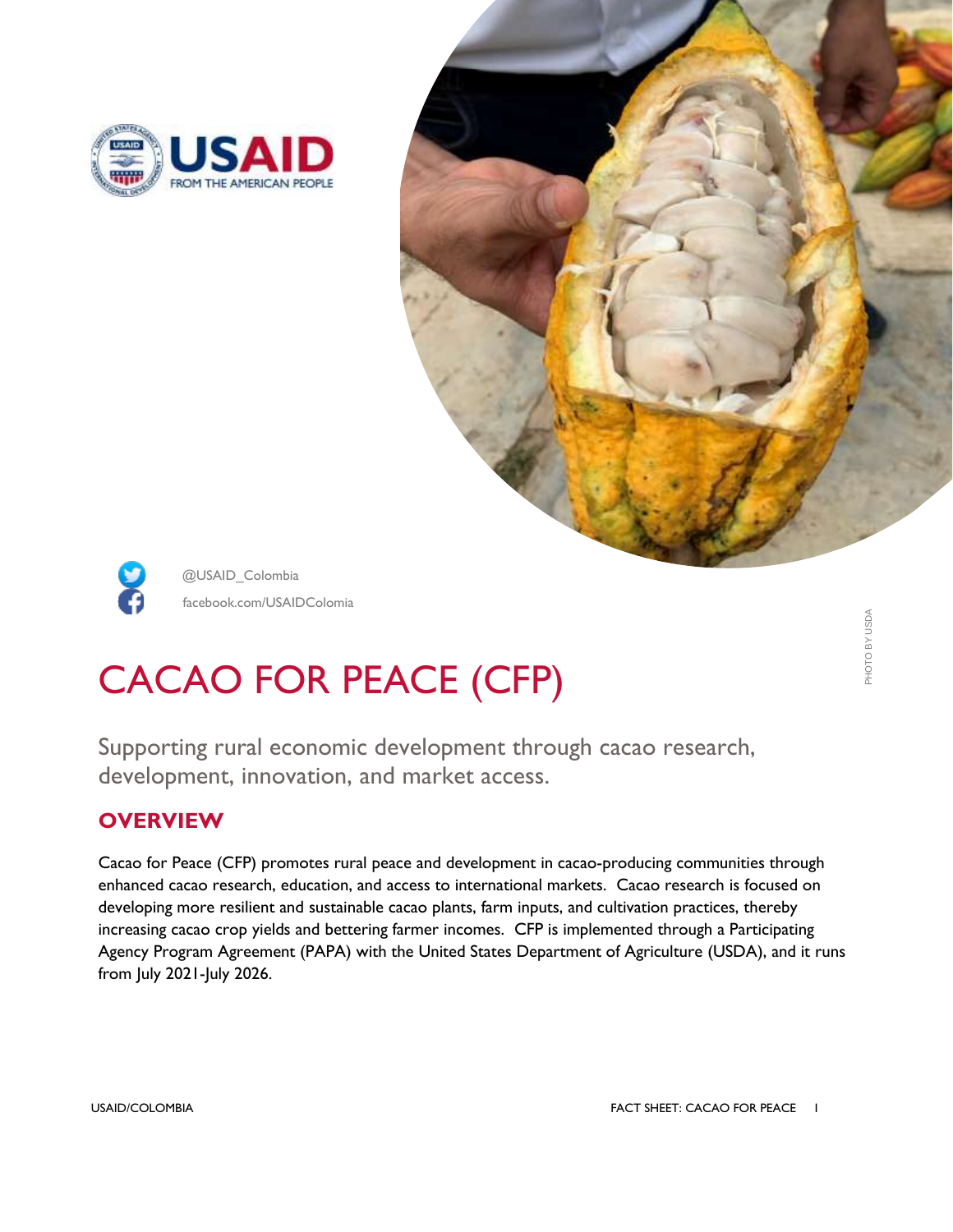





@USAID\_Colombia facebook.com/USAIDColomia

# CACAO FOR PEACE (CFP)

Supporting rural economic development through cacao research, development, innovation, and market access.

## **OVERVIEW**

Cacao for Peace (CFP) promotes rural peace and development in cacao-producing communities through enhanced cacao research, education, and access to international markets. Cacao research is focused on developing more resilient and sustainable cacao plants, farm inputs, and cultivation practices, thereby increasing cacao crop yields and bettering farmer incomes. CFP is implemented through a Participating Agency Program Agreement (PAPA) with the United States Department of Agriculture (USDA), and it runs from July 2021-July 2026.